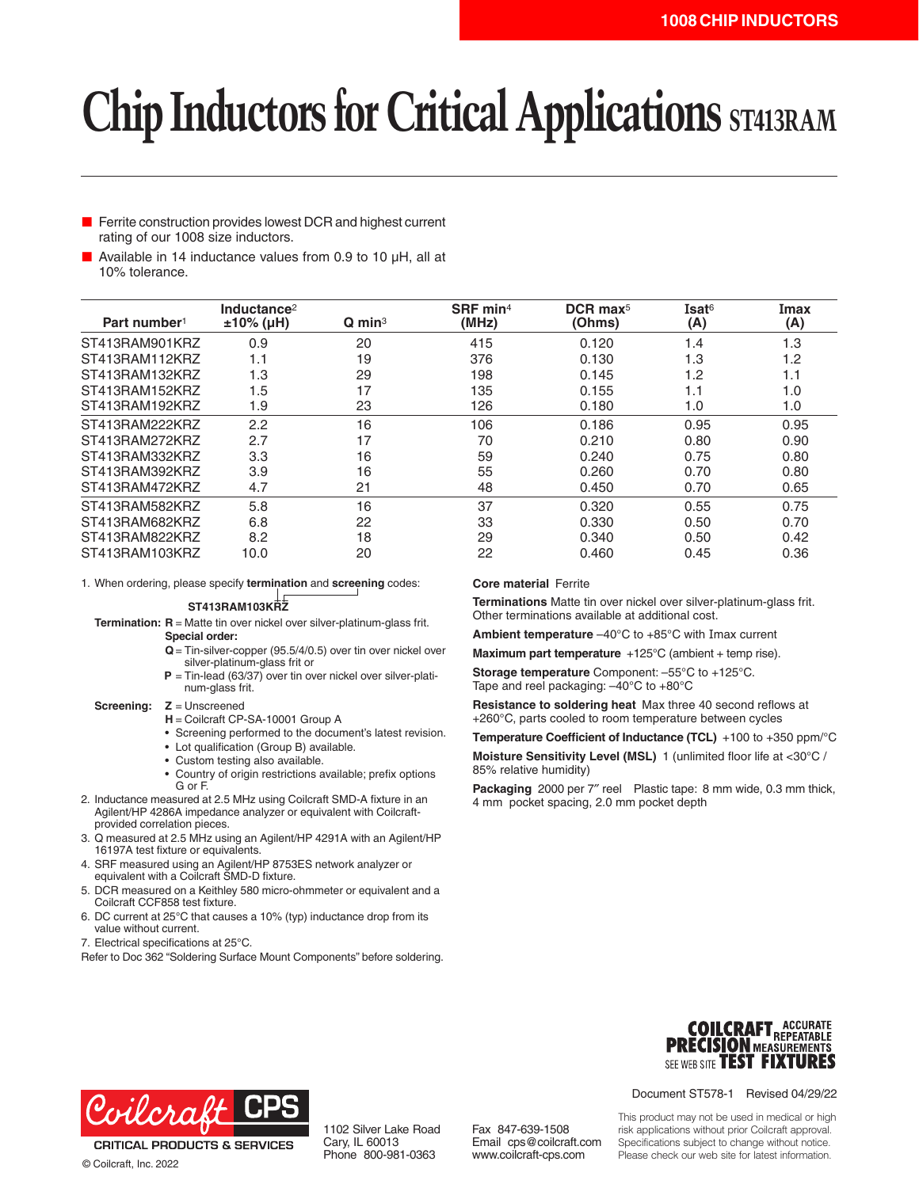# **Chip Inductors for Critical Applications ST413RAM**

- Ferrite construction provides lowest DCR and highest current rating of our 1008 size inductors.
- Available in 14 inductance values from 0.9 to 10 µH, all at 10% tolerance.

| Part number <sup>1</sup> | Inductance <sup>2</sup><br>$±10\%$ (µH) | $Q$ min <sup>3</sup> | SRF min <sup>4</sup><br>(MHz) | $DCR$ max <sup>5</sup><br>(Ohms) | Isat <sup>6</sup><br>(A) | Imax<br>(A) |
|--------------------------|-----------------------------------------|----------------------|-------------------------------|----------------------------------|--------------------------|-------------|
| ST413RAM901KRZ           | 0.9                                     | 20                   | 415                           | 0.120                            | 1.4                      | 1.3         |
| ST413RAM112KRZ           | 1.1                                     | 19                   | 376                           | 0.130                            | 1.3                      | 1.2         |
| ST413RAM132KRZ           | 1.3                                     | 29                   | 198                           | 0.145                            | 1.2                      | 1.1         |
| ST413RAM152KRZ           | 1.5                                     | 17                   | 135                           | 0.155                            | 1.1                      | 1.0         |
| ST413RAM192KRZ           | 1.9                                     | 23                   | 126                           | 0.180                            | 1.0                      | 1.0         |
| ST413RAM222KRZ           | 2.2                                     | 16                   | 106                           | 0.186                            | 0.95                     | 0.95        |
| ST413RAM272KRZ           | 2.7                                     | 17                   | 70                            | 0.210                            | 0.80                     | 0.90        |
| ST413RAM332KRZ           | 3.3                                     | 16                   | 59                            | 0.240                            | 0.75                     | 0.80        |
| ST413RAM392KRZ           | 3.9                                     | 16                   | 55                            | 0.260                            | 0.70                     | 0.80        |
| ST413RAM472KRZ           | 4.7                                     | 21                   | 48                            | 0.450                            | 0.70                     | 0.65        |
| ST413RAM582KRZ           | 5.8                                     | 16                   | 37                            | 0.320                            | 0.55                     | 0.75        |
| ST413RAM682KRZ           | 6.8                                     | 22                   | 33                            | 0.330                            | 0.50                     | 0.70        |
| ST413RAM822KRZ           | 8.2                                     | 18                   | 29                            | 0.340                            | 0.50                     | 0.42        |
| ST413RAM103KRZ           | 10.0                                    | 20                   | 22                            | 0.460                            | 0.45                     | 0.36        |

1. When ordering, please specify **termination** and **screening** codes:

### **ST413RAM103KRZ**

**Termination: R** = Matte tin over nickel over silver-platinum-glass frit. **Special order:**

- **Q**= Tin-silver-copper (95.5/4/0.5) over tin over nickel over
- silver-platinum-glass frit or **P** = Tin-lead (63/37) over tin over nickel over silver-platinum-glass frit.

#### **Screening: Z** = Unscreened

- **H** = Coilcraft CP-SA-10001 Group A
- Screening performed to the document's latest revision.
- Lot qualification (Group B) available.
- Custom testing also available.
- Country of origin restrictions available; prefix options G or F.
- 2. Inductance measured at 2.5 MHz using Coilcraft SMD-A fixture in an Agilent/HP 4286A impedance analyzer or equivalent with Coilcraftprovided correlation pieces.
- 3. Q measured at 2.5 MHz using an Agilent/HP 4291A with an Agilent/HP 16197A test fixture or equivalents.
- 4. SRF measured using an Agilent/HP 8753ES network analyzer or equivalent with a Coilcraft SMD-D fixture.
- 5. DCR measured on a Keithley 580 micro-ohmmeter or equivalent and a Coilcraft CCF858 test fixture.
- 6. DC current at 25°C that causes a 10% (typ) inductance drop from its value without current.
- 7. Electrical specifications at 25°C.

Refer to Doc 362 "Soldering Surface Mount Components" before soldering.

## **Core material** Ferrite

**Terminations** Matte tin over nickel over silver-platinum-glass frit. Other terminations available at additional cost.

**Ambient temperature** –40°C to +85°C with Imax current

**Maximum part temperature** +125°C (ambient + temp rise).

**Storage temperature** Component: –55°C to +125°C. Tape and reel packaging: –40°C to +80°C

**Resistance to soldering heat** Max three 40 second reflows at +260°C, parts cooled to room temperature between cycles

**Temperature Coefficient of Inductance (TCL)** +100 to +350 ppm/°C

**Moisture Sensitivity Level (MSL)** 1 (unlimited floor life at <30°C / 85% relative humidity)

**Packaging** 2000 per 7″ reel Plastic tape: 8 mm wide, 0.3 mm thick, 4 mm pocket spacing, 2.0 mm pocket depth





**CRITICAL PRODUCTS & SERVICES** © Coilcraft, Inc. 2022

1102 Silver Lake Road Cary, IL 60013 Phone 800-981-0363

Fax 847-639-1508 Email cps@coilcraft.com www.coilcraft-cps.com

Document ST578-1 Revised 04/29/22

This product may not be used in medical or high risk applications without prior Coilcraft approval. Specifications subject to change without notice. Please check our web site for latest information.